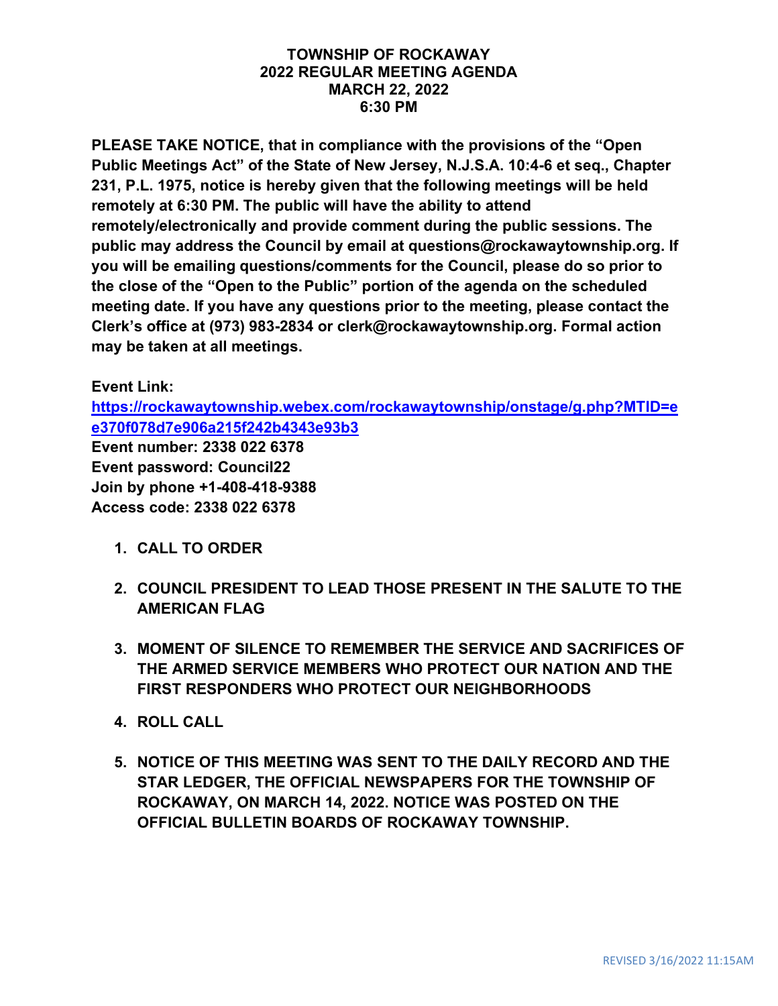#### **TOWNSHIP OF ROCKAWAY 2022 REGULAR MEETING AGENDA MARCH 22, 2022 6:30 PM**

**PLEASE TAKE NOTICE, that in compliance with the provisions of the "Open Public Meetings Act" of the State of New Jersey, N.J.S.A. 10:4-6 et seq., Chapter 231, P.L. 1975, notice is hereby given that the following meetings will be held remotely at 6:30 PM. The public will have the ability to attend remotely/electronically and provide comment during the public sessions. The public may address the Council by email at questions@rockawaytownship.org. If you will be emailing questions/comments for the Council, please do so prior to the close of the "Open to the Public" portion of the agenda on the scheduled meeting date. If you have any questions prior to the meeting, please contact the Clerk's office at (973) 983-2834 or clerk@rockawaytownship.org. Formal action may be taken at all meetings.**

### **Event Link:**

**[https://rockawaytownship.webex.com/rockawaytownship/onstage/g.php?MTID=e](https://rockawaytownship.webex.com/rockawaytownship/onstage/g.php?MTID=ee370f078d7e906a215f242b4343e93b3) [e370f078d7e906a215f242b4343e93b3](https://rockawaytownship.webex.com/rockawaytownship/onstage/g.php?MTID=ee370f078d7e906a215f242b4343e93b3) Event number: 2338 022 6378**

**Event password: Council22 Join by phone +1-408-418-9388 Access code: 2338 022 6378**

- **1. CALL TO ORDER**
- **2. COUNCIL PRESIDENT TO LEAD THOSE PRESENT IN THE SALUTE TO THE AMERICAN FLAG**
- **3. MOMENT OF SILENCE TO REMEMBER THE SERVICE AND SACRIFICES OF THE ARMED SERVICE MEMBERS WHO PROTECT OUR NATION AND THE FIRST RESPONDERS WHO PROTECT OUR NEIGHBORHOODS**
- **4. ROLL CALL**
- **5. NOTICE OF THIS MEETING WAS SENT TO THE DAILY RECORD AND THE STAR LEDGER, THE OFFICIAL NEWSPAPERS FOR THE TOWNSHIP OF ROCKAWAY, ON MARCH 14, 2022. NOTICE WAS POSTED ON THE OFFICIAL BULLETIN BOARDS OF ROCKAWAY TOWNSHIP.**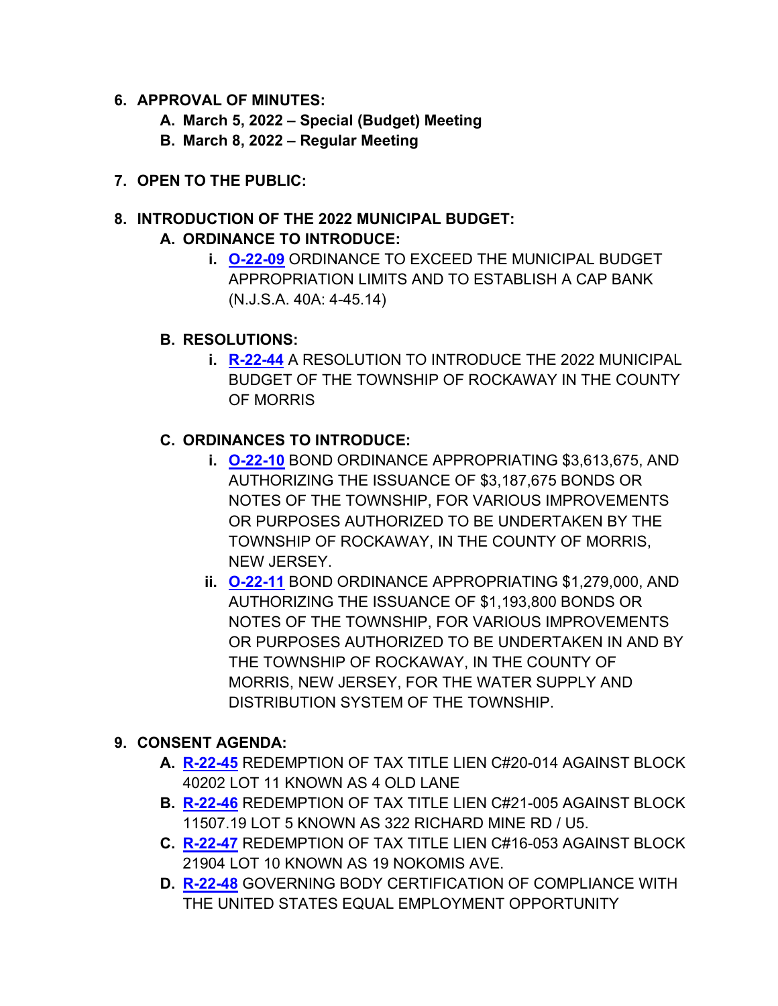#### **6. APPROVAL OF MINUTES:**

- **A. March 5, 2022 – Special (Budget) Meeting**
- **B. March 8, 2022 – Regular Meeting**
- **7. OPEN TO THE PUBLIC:**

## **8. INTRODUCTION OF THE 2022 MUNICIPAL BUDGET:**

### **A. ORDINANCE TO INTRODUCE:**

**i. [O-22-09](https://www.rockawaytownship.org/DocumentCenter/View/8255/O-22-09-2022-COLA-and-CAP-Bank-Ordinance)** ORDINANCE TO EXCEED THE MUNICIPAL BUDGET APPROPRIATION LIMITS AND TO ESTABLISH A CAP BANK (N.J.S.A. 40A: 4-45.14)

### **B. RESOLUTIONS:**

**i. [R-22-44](https://www.rockawaytownship.org/DocumentCenter/View/8241/R-22-44-Resolution-Introducing-the-2022-Municipal-Budget)** A RESOLUTION TO INTRODUCE THE 2022 MUNICIPAL BUDGET OF THE TOWNSHIP OF ROCKAWAY IN THE COUNTY OF MORRIS

## **C. ORDINANCES TO INTRODUCE:**

- **i. [O-22-10](https://www.rockawaytownship.org/DocumentCenter/View/8253/O-22-10-Rockaway---2022-Various-Purpose-Bond-Ordinance-NO-ATTACHMENTS)** BOND ORDINANCE APPROPRIATING \$3,613,675, AND AUTHORIZING THE ISSUANCE OF \$3,187,675 BONDS OR NOTES OF THE TOWNSHIP, FOR VARIOUS IMPROVEMENTS OR PURPOSES AUTHORIZED TO BE UNDERTAKEN BY THE TOWNSHIP OF ROCKAWAY, IN THE COUNTY OF MORRIS, NEW JERSEY.
- **ii. [O-22-11](https://www.rockawaytownship.org/DocumentCenter/View/8254/O-22-11-Rockaway---2022-Water-Utility-Various-Purpose-Bond-Ordinance-NO-ATTACHMENTSdoc)** BOND ORDINANCE APPROPRIATING \$1,279,000, AND AUTHORIZING THE ISSUANCE OF \$1,193,800 BONDS OR NOTES OF THE TOWNSHIP, FOR VARIOUS IMPROVEMENTS OR PURPOSES AUTHORIZED TO BE UNDERTAKEN IN AND BY THE TOWNSHIP OF ROCKAWAY, IN THE COUNTY OF MORRIS, NEW JERSEY, FOR THE WATER SUPPLY AND DISTRIBUTION SYSTEM OF THE TOWNSHIP.

# **9. CONSENT AGENDA:**

- **A. [R-22-45](https://www.rockawaytownship.org/DocumentCenter/View/8242/R-22-45-40202-11)** REDEMPTION OF TAX TITLE LIEN C#20-014 AGAINST BLOCK 40202 LOT 11 KNOWN AS 4 OLD LANE
- **B. [R-22-46](https://www.rockawaytownship.org/DocumentCenter/View/8243/R-22-46-1150719-5)** REDEMPTION OF TAX TITLE LIEN C#21-005 AGAINST BLOCK 11507.19 LOT 5 KNOWN AS 322 RICHARD MINE RD / U5.
- **C. [R-22-47](https://www.rockawaytownship.org/DocumentCenter/View/8244/R-22-47-21904-10)** REDEMPTION OF TAX TITLE LIEN C#16-053 AGAINST BLOCK 21904 LOT 10 KNOWN AS 19 NOKOMIS AVE.
- **D. [R-22-48](https://www.rockawaytownship.org/DocumentCenter/View/8245/R-22-48-2022-Civil-Rights-Compliance)** GOVERNING BODY CERTIFICATION OF COMPLIANCE WITH THE UNITED STATES EQUAL EMPLOYMENT OPPORTUNITY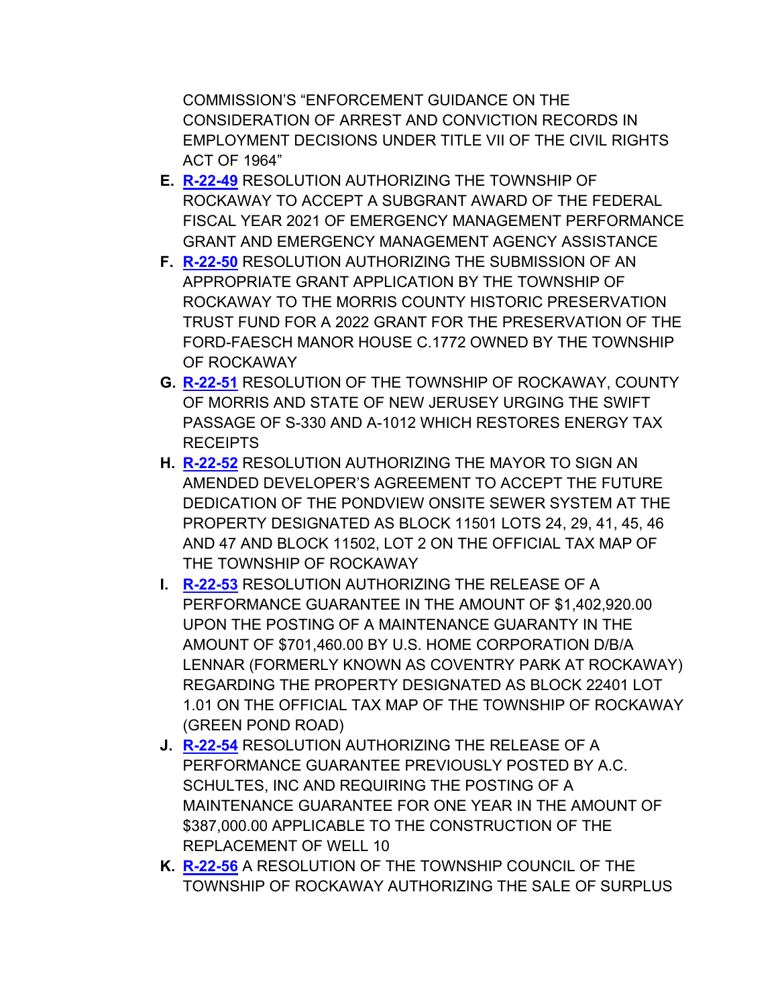COMMISSION'S "ENFORCEMENT GUIDANCE ON THE CONSIDERATION OF ARREST AND CONVICTION RECORDS IN EMPLOYMENT DECISIONS UNDER TITLE VII OF THE CIVIL RIGHTS ACT OF 1964"

- **E. [R-22-49](https://www.rockawaytownship.org/DocumentCenter/View/8246/R-22-49-Resolution-Accepting-OEM-Performance-Grant-and-OEM-Agency-Assistance)** RESOLUTION AUTHORIZING THE TOWNSHIP OF ROCKAWAY TO ACCEPT A SUBGRANT AWARD OF THE FEDERAL FISCAL YEAR 2021 OF EMERGENCY MANAGEMENT PERFORMANCE GRANT AND EMERGENCY MANAGEMENT AGENCY ASSISTANCE
- **F. [R-22-50](https://www.rockawaytownship.org/DocumentCenter/View/8247/R-22-50-Resolution-Authorizing-Submission-of-Historic-Preservation-Trust-Grant)** RESOLUTION AUTHORIZING THE SUBMISSION OF AN APPROPRIATE GRANT APPLICATION BY THE TOWNSHIP OF ROCKAWAY TO THE MORRIS COUNTY HISTORIC PRESERVATION TRUST FUND FOR A 2022 GRANT FOR THE PRESERVATION OF THE FORD-FAESCH MANOR HOUSE C.1772 OWNED BY THE TOWNSHIP OF ROCKAWAY
- **G. [R-22-51](https://www.rockawaytownship.org/DocumentCenter/View/8248/R-22-51-Resolution-urging-the-passage-of-S-330-and-A-1012)** RESOLUTION OF THE TOWNSHIP OF ROCKAWAY, COUNTY OF MORRIS AND STATE OF NEW JERUSEY URGING THE SWIFT PASSAGE OF S-330 AND A-1012 WHICH RESTORES ENERGY TAX RECEIPTS
- **H. [R-22-52](https://www.rockawaytownship.org/DocumentCenter/View/8249/R-22-52-Resolution-Authorizing-Mayor-to-Sign-Amended-Developers-Agreement-for-Pondview)** RESOLUTION AUTHORIZING THE MAYOR TO SIGN AN AMENDED DEVELOPER'S AGREEMENT TO ACCEPT THE FUTURE DEDICATION OF THE PONDVIEW ONSITE SEWER SYSTEM AT THE PROPERTY DESIGNATED AS BLOCK 11501 LOTS 24, 29, 41, 45, 46 AND 47 AND BLOCK 11502, LOT 2 ON THE OFFICIAL TAX MAP OF THE TOWNSHIP OF ROCKAWAY
- **I. [R-22-53](https://www.rockawaytownship.org/DocumentCenter/View/8250/R-22-53-Resolution-Authorizing-the-Release-of-a-Performance-Guarantee-for-The-Hills-by-Lennar)** RESOLUTION AUTHORIZING THE RELEASE OF A PERFORMANCE GUARANTEE IN THE AMOUNT OF \$1,402,920.00 UPON THE POSTING OF A MAINTENANCE GUARANTY IN THE AMOUNT OF \$701,460.00 BY U.S. HOME CORPORATION D/B/A LENNAR (FORMERLY KNOWN AS COVENTRY PARK AT ROCKAWAY) REGARDING THE PROPERTY DESIGNATED AS BLOCK 22401 LOT 1.01 ON THE OFFICIAL TAX MAP OF THE TOWNSHIP OF ROCKAWAY (GREEN POND ROAD)
- **J. [R-22-54](https://www.rockawaytownship.org/DocumentCenter/View/8251/R-22-54-Resolution-Authorizing-the-Release-of-a-Performance-Guarantee-posted-by-AC-Schultes-for-Well-10-Improvements)** RESOLUTION AUTHORIZING THE RELEASE OF A PERFORMANCE GUARANTEE PREVIOUSLY POSTED BY A.C. SCHULTES, INC AND REQUIRING THE POSTING OF A MAINTENANCE GUARANTEE FOR ONE YEAR IN THE AMOUNT OF \$387,000.00 APPLICABLE TO THE CONSTRUCTION OF THE REPLACEMENT OF WELL 10
- **K. [R-22-56](https://www.rockawaytownship.org/DocumentCenter/View/8268/R-22-56-Auction-Resolution)** A RESOLUTION OF THE TOWNSHIP COUNCIL OF THE TOWNSHIP OF ROCKAWAY AUTHORIZING THE SALE OF SURPLUS